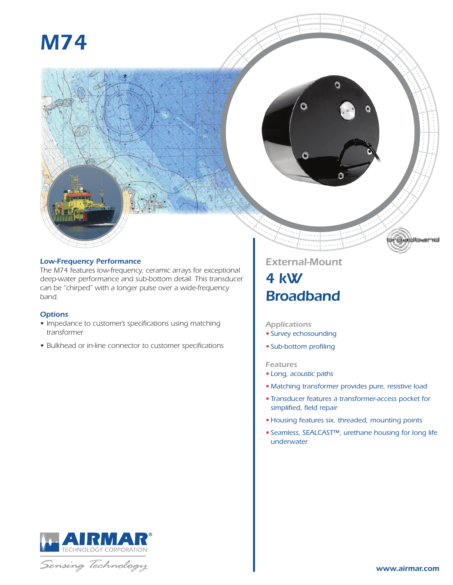# *M74*



#### *Low-Frequency Performance*

*The M74 features low-frequency, ceramic arrays for exceptional deep-water performance and sub-bottom detail. This transducer can be "chirped" with a longer pulse over a wide-frequency band.*

#### *Options*

- *• Impedance to customer's specifications using matching transformer*
- *• Bulkhead or in-line connector to customer specifications*

### *External-Mount 4 kW*

## *Broadband*

#### *Applications*

- *• Survey echosounding*
- *• Sub-bottom profiling*

#### *Features*

- *• Long, acoustic paths*
- *• Matching transformer provides pure, resistive load*
- *• Transducer features a transformer-access pocket for simplified, field repair*
- *• Housing features six, threaded, mounting points*
- *• Seamless, SEALCAST™, urethane housing for long life underwater*